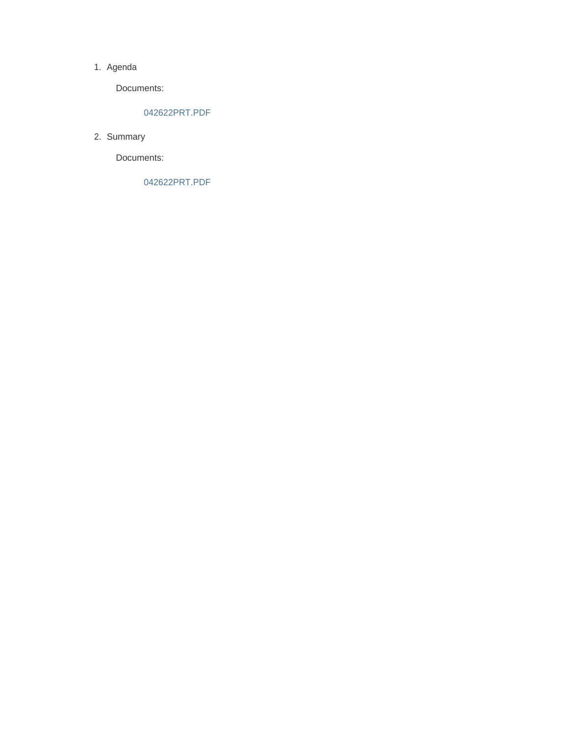#### 1. Agenda

Documents:

#### 042622PRT.PDF

2. Summary

Documents:

042622PRT.PDF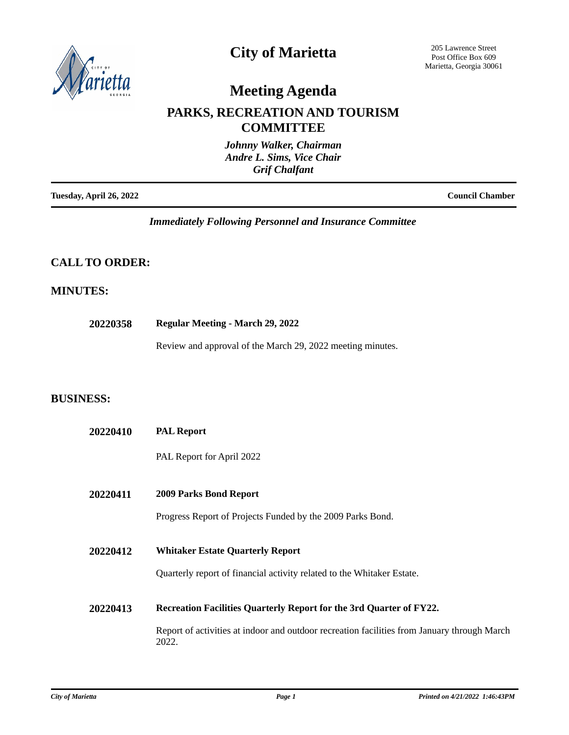

### **City of Marietta**

205 Lawrence Street Post Office Box 609 Marietta, Georgia 30061

## **Meeting Agenda**

### **PARKS, RECREATION AND TOURISM COMMITTEE**

|                         | Johnny Walker, Chairman<br>Andre L. Sims, Vice Chair<br><b>Grif Chalfant</b> |
|-------------------------|------------------------------------------------------------------------------|
| Tuesday, April 26, 2022 | <b>Council Chamber</b>                                                       |

*Immediately Following Personnel and Insurance Committee*

#### **CALL TO ORDER:**

#### **MINUTES:**

**20220358 Regular Meeting - March 29, 2022**

Review and approval of the March 29, 2022 meeting minutes.

#### **BUSINESS:**

| 20220410 | <b>PAL Report</b>                                                                                    |
|----------|------------------------------------------------------------------------------------------------------|
|          | PAL Report for April 2022                                                                            |
| 20220411 | <b>2009 Parks Bond Report</b>                                                                        |
|          | Progress Report of Projects Funded by the 2009 Parks Bond.                                           |
| 20220412 | <b>Whitaker Estate Quarterly Report</b>                                                              |
|          | Quarterly report of financial activity related to the Whitaker Estate.                               |
| 20220413 | Recreation Facilities Quarterly Report for the 3rd Quarter of FY22.                                  |
|          | Report of activities at indoor and outdoor recreation facilities from January through March<br>2022. |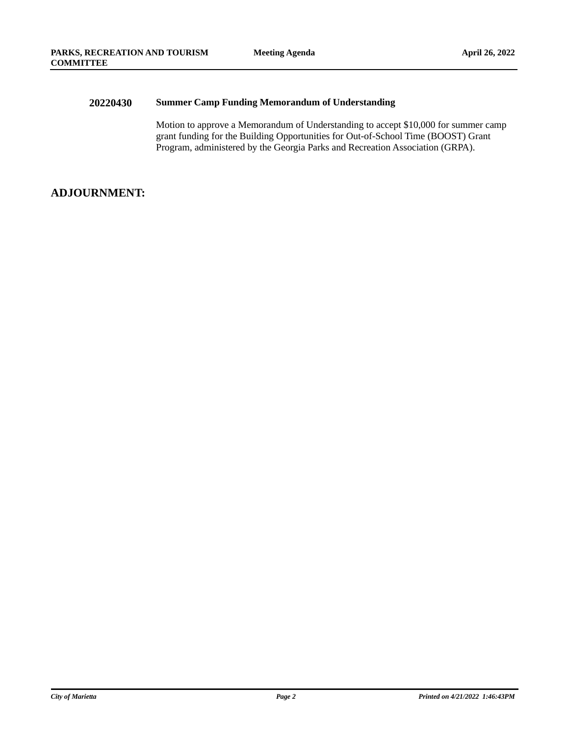#### **20220430 Summer Camp Funding Memorandum of Understanding**

Motion to approve a Memorandum of Understanding to accept \$10,000 for summer camp grant funding for the Building Opportunities for Out-of-School Time (BOOST) Grant Program, administered by the Georgia Parks and Recreation Association (GRPA).

#### **ADJOURNMENT:**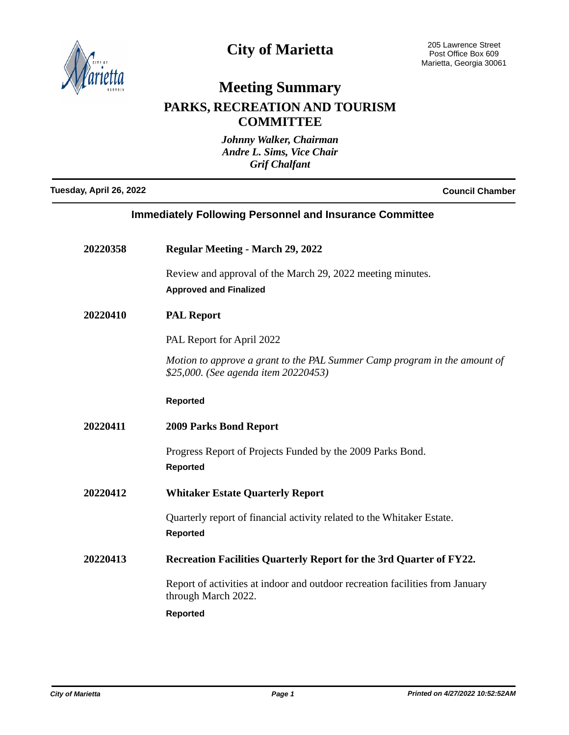

# **City of Marietta**

# **Meeting Summary**

### **PARKS, RECREATION AND TOURISM COMMITTEE**

| Johnny Walker, Chairman<br>Andre L. Sims, Vice Chair<br><b>Grif Chalfant</b> |                                                                                                                   |  |
|------------------------------------------------------------------------------|-------------------------------------------------------------------------------------------------------------------|--|
| Tuesday, April 26, 2022<br><b>Council Chamber</b>                            |                                                                                                                   |  |
| <b>Immediately Following Personnel and Insurance Committee</b>               |                                                                                                                   |  |
| 20220358                                                                     | <b>Regular Meeting - March 29, 2022</b>                                                                           |  |
|                                                                              | Review and approval of the March 29, 2022 meeting minutes.<br><b>Approved and Finalized</b>                       |  |
| 20220410                                                                     | <b>PAL Report</b>                                                                                                 |  |
|                                                                              | PAL Report for April 2022                                                                                         |  |
|                                                                              | Motion to approve a grant to the PAL Summer Camp program in the amount of<br>\$25,000. (See agenda item 20220453) |  |
|                                                                              | <b>Reported</b>                                                                                                   |  |
| 20220411                                                                     | <b>2009 Parks Bond Report</b>                                                                                     |  |
|                                                                              | Progress Report of Projects Funded by the 2009 Parks Bond.<br><b>Reported</b>                                     |  |
| 20220412                                                                     | <b>Whitaker Estate Quarterly Report</b>                                                                           |  |
|                                                                              | Quarterly report of financial activity related to the Whitaker Estate.<br><b>Reported</b>                         |  |
| 20220413                                                                     | Recreation Facilities Quarterly Report for the 3rd Quarter of FY22.                                               |  |
|                                                                              | Report of activities at indoor and outdoor recreation facilities from January<br>through March 2022.<br>Reported  |  |